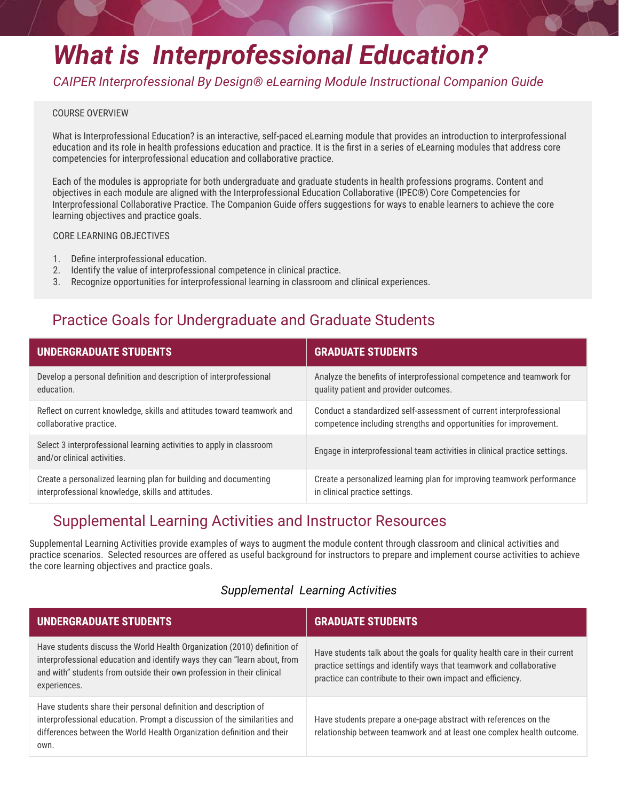# *What is Interprofessional Education?*

*CAIPER Interprofessional By Design® eLearning Module Instructional Companion Guide* 

#### COURSE OVERVIEW

What is Interprofessional Education? is an interactive, self-paced eLearning module that provides an introduction to interprofessional education and its role in health professions education and practice. It is the first in a series of eLearning modules that address core competencies for interprofessional education and collaborative practice.

Each of the modules is appropriate for both undergraduate and graduate students in health professions programs. Content and objectives in each module are aligned with the Interprofessional Education Collaborative (IPEC®) Core Competencies for Interprofessional Collaborative Practice. The Companion Guide offers suggestions for ways to enable learners to achieve the core learning objectives and practice goals.

CORE LEARNING OBJECTIVES

- 1. Define interprofessional education.
- 2. Identify the value of interprofessional competence in clinical practice.
- 3. Recognize opportunities for interprofessional learning in classroom and clinical experiences.

# Practice Goals for Undergraduate and Graduate Students

| <b>UNDERGRADUATE STUDENTS</b>                                                                       | <b>GRADUATE STUDENTS</b>                                                   |
|-----------------------------------------------------------------------------------------------------|----------------------------------------------------------------------------|
| Develop a personal definition and description of interprofessional                                  | Analyze the benefits of interprofessional competence and teamwork for      |
| education.                                                                                          | quality patient and provider outcomes.                                     |
| Reflect on current knowledge, skills and attitudes toward teamwork and                              | Conduct a standardized self-assessment of current interprofessional        |
| collaborative practice.                                                                             | competence including strengths and opportunities for improvement.          |
| Select 3 interprofessional learning activities to apply in classroom<br>and/or clinical activities. | Engage in interprofessional team activities in clinical practice settings. |
| Create a personalized learning plan for building and documenting                                    | Create a personalized learning plan for improving teamwork performance     |
| interprofessional knowledge, skills and attitudes.                                                  | in clinical practice settings.                                             |

## Supplemental Learning Activities and Instructor Resources

Supplemental Learning Activities provide examples of ways to augment the module content through classroom and clinical activities and practice scenarios. Selected resources are offered as useful background for instructors to prepare and implement course activities to achieve the core learning objectives and practice goals.

## *Supplemental Learning Activities*

| <b>UNDERGRADUATE STUDENTS</b>                                                                                                                                                                                                                   | <b>GRADUATE STUDENTS</b>                                                                                                                                                                                          |
|-------------------------------------------------------------------------------------------------------------------------------------------------------------------------------------------------------------------------------------------------|-------------------------------------------------------------------------------------------------------------------------------------------------------------------------------------------------------------------|
| Have students discuss the World Health Organization (2010) definition of<br>interprofessional education and identify ways they can "learn about, from<br>and with" students from outside their own profession in their clinical<br>experiences. | Have students talk about the goals for quality health care in their current<br>practice settings and identify ways that teamwork and collaborative<br>practice can contribute to their own impact and efficiency. |
| Have students share their personal definition and description of<br>interprofessional education. Prompt a discussion of the similarities and<br>differences between the World Health Organization definition and their<br>own.                  | Have students prepare a one-page abstract with references on the<br>relationship between teamwork and at least one complex health outcome.                                                                        |